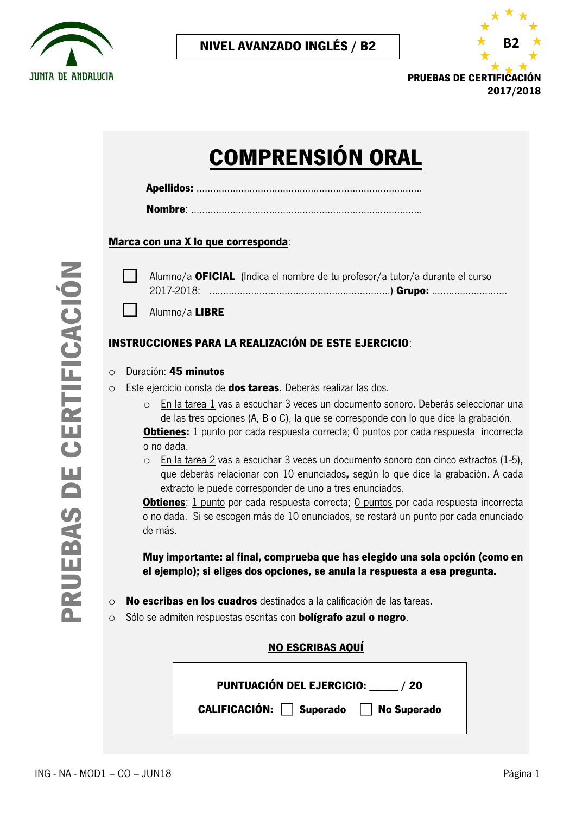



# **COMPRENSIÓN ORAL**

#### **Marca con una X lo que corresponda**:

 Alumno/a **OFICIAL** (Indica el nombre de tu profesor/a tutor/a durante el curso 2017-2018: …………………….………………………………….) **Grupo:** ...........................

Alumno/a **LIBRE** 

### **INSTRUCCIONES PARA LA REALIZACIÓN DE ESTE EJERCICIO**:

#### o Duración: **45 minutos**

o Este ejercicio consta de **dos tareas**. Deberás realizar las dos.

o En la tarea 1 vas a escuchar 3 veces un documento sonoro. Deberás seleccionar una de las tres opciones (A, B o C), la que se corresponde con lo que dice la grabación.

**Obtienes:** 1 punto por cada respuesta correcta; 0 puntos por cada respuesta incorrecta o no dada.

o En la tarea 2 vas a escuchar 3 veces un documento sonoro con cinco extractos (1‐5), que deberás relacionar con 10 enunciados**,** según lo que dice la grabación. A cada extracto le puede corresponder de uno a tres enunciados.

**Obtienes**: 1 punto por cada respuesta correcta; 0 puntos por cada respuesta incorrecta o no dada. Si se escogen más de 10 enunciados, se restará un punto por cada enunciado de más.

**Muy importante: al final, comprueba que has elegido una sola opción (como en el ejemplo); si eliges dos opciones, se anula la respuesta a esa pregunta.**

o **No escribas en los cuadros** destinados a la calificación de las tareas.

o Sólo se admiten respuestas escritas con **bolígrafo azul o negro**.

#### **NO ESCRIBAS AQUÍ**

**PUNTUACIÓN DEL EJERCICIO: \_\_\_\_\_ / 20**

**CALIFICACIÓN:** ⃞ **Superado** ⃞ **No Superado**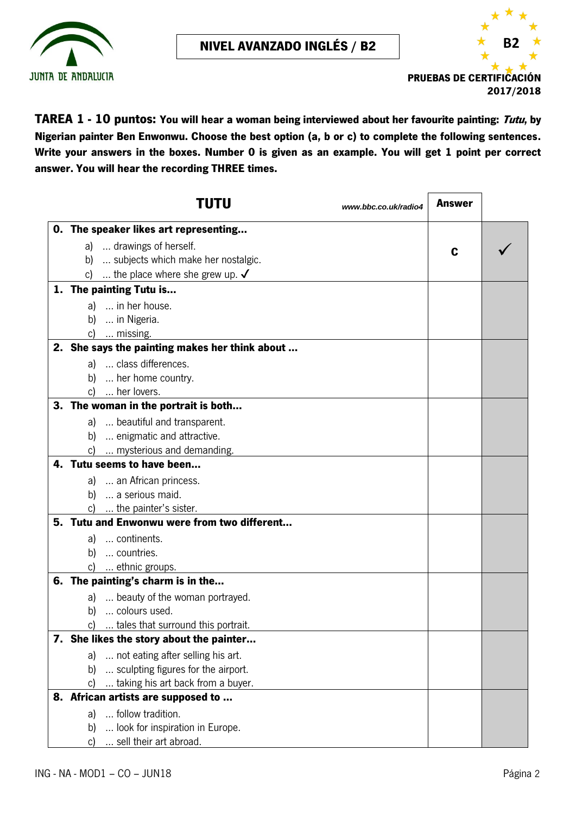



**TAREA 1 - 10 puntos: You will hear a woman being interviewed about her favourite painting: Tutu, by Nigerian painter Ben Enwonwu. Choose the best option (a, b or c) to complete the following sentences. Write your answers in the boxes. Number 0 is given as an example. You will get 1 point per correct answer. You will hear the recording THREE times.**

| TUTU<br>www.bbc.co.uk/radio4                   | Answer |  |
|------------------------------------------------|--------|--|
| 0. The speaker likes art representing          |        |  |
| a)  drawings of herself.                       | C      |  |
| b)  subjects which make her nostalgic.         |        |  |
| c)  the place where she grew up. $\checkmark$  |        |  |
| 1. The painting Tutu is                        |        |  |
| a)  in her house.                              |        |  |
| b)  in Nigeria.                                |        |  |
| c)  missing.                                   |        |  |
| 2. She says the painting makes her think about |        |  |
| a)  class differences.                         |        |  |
| b)  her home country.                          |        |  |
| c)  her lovers.                                |        |  |
| 3. The woman in the portrait is both           |        |  |
| a)  beautiful and transparent.                 |        |  |
| b)  enigmatic and attractive.                  |        |  |
| c)  mysterious and demanding.                  |        |  |
| 4. Tutu seems to have been                     |        |  |
| a)  an African princess.                       |        |  |
| b)  a serious maid.                            |        |  |
| c)  the painter's sister.                      |        |  |
| 5. Tutu and Enwonwu were from two different    |        |  |
| a)  continents.                                |        |  |
| b)  countries.                                 |        |  |
| c)  ethnic groups.                             |        |  |
| 6. The painting's charm is in the              |        |  |
| a)  beauty of the woman portrayed.             |        |  |
| b)  colours used.                              |        |  |
| c)  tales that surround this portrait.         |        |  |
| 7. She likes the story about the painter       |        |  |
| not eating after selling his art.<br>a)        |        |  |
| sculpting figures for the airport.<br>b)       |        |  |
| c)  taking his art back from a buyer.          |        |  |
| 8. African artists are supposed to             |        |  |
| follow tradition.<br>a)                        |        |  |
| look for inspiration in Europe.<br>b)          |        |  |
| sell their art abroad.<br>C)                   |        |  |